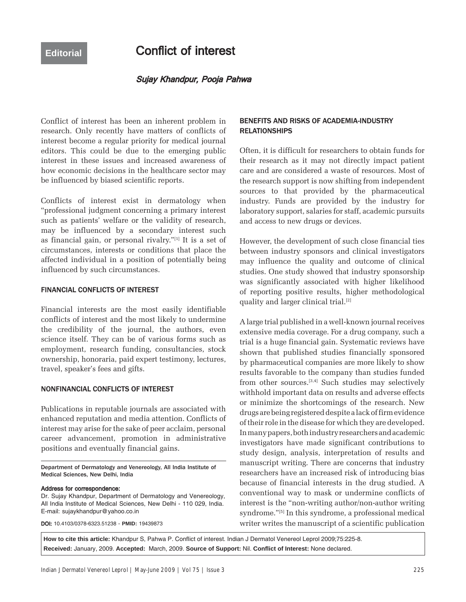# Conflict of interest

## Sujay Khandpur, Pooja Pahwa

Conflict of interest has been an inherent problem in research. Only recently have matters of conflicts of interest become a regular priority for medical journal editors. This could be due to the emerging public interest in these issues and increased awareness of how economic decisions in the healthcare sector may be influenced by biased scientific reports.

Conflicts of interest exist in dermatology when ìprofessional judgment concerning a primary interest such as patients' welfare or the validity of research, may be influenced by a secondary interest such as financial gain, or personal rivalry."[1] It is a set of circumstances, interests or conditions that place the affected individual in a position of potentially being influenced by such circumstances.

#### FINANCIAL CONFLICTS OF INTEREST

Financial interests are the most easily identifiable conflicts of interest and the most likely to undermine the credibility of the journal, the authors, even science itself. They can be of various forms such as employment, research funding, consultancies, stock ownership, honoraria, paid expert testimony, lectures, travel, speaker's fees and gifts.

### NONFINANCIAL CONFLICTS OF INTEREST

Publications in reputable journals are associated with enhanced reputation and media attention. Conflicts of interest may arise for the sake of peer acclaim, personal career advancement, promotion in administrative positions and eventually financial gains.

Department of Dermatology and Venereology, All India Institute of Medical Sciences, New Delhi, India

#### Address for correspondence:

Dr. Sujay Khandpur, Department of Dermatology and Venereology, All India Institute of Medical Sciences, New Delhi - 110 029, India. E-mail: sujaykhandpur@yahoo.co.in

DOI: 10.4103/0378-6323.51238 - PMID: 19439873

### BENEFITS AND RISKS OF ACADEMIA-INDUSTRY **RELATIONSHIPS**

Often, it is difficult for researchers to obtain funds for their research as it may not directly impact patient care and are considered a waste of resources. Most of the research support is now shifting from independent sources to that provided by the pharmaceutical industry. Funds are provided by the industry for laboratory support, salaries for staff, academic pursuits and access to new drugs or devices.

However, the development of such close financial ties between industry sponsors and clinical investigators may influence the quality and outcome of clinical studies. One study showed that industry sponsorship was significantly associated with higher likelihood of reporting positive results, higher methodological quality and larger clinical trial.[2]

A large trial published in a well-known journal receives extensive media coverage. For a drug company, such a trial is a huge financial gain. Systematic reviews have shown that published studies financially sponsored by pharmaceutical companies are more likely to show results favorable to the company than studies funded from other sources.[3,4] Such studies may selectively withhold important data on results and adverse effects or minimize the shortcomings of the research. New drugs are being registered despite a lack of firm evidence of their role in the disease for which they are developed. In many papers, both industry researchers and academic investigators have made significant contributions to study design, analysis, interpretation of results and manuscript writing. There are concerns that industry researchers have an increased risk of introducing bias because of financial interests in the drug studied. A conventional way to mask or undermine conflicts of interest is the "non-writing author/non-author writing syndrome."<sup>[5]</sup> In this syndrome, a professional medical writer writes the manuscript of a scientific publication

How to cite this article: Khandpur S, Pahwa P. Conflict of interest. Indian J Dermatol Venereol Leprol 2009;75:225-8. **Received:** January, 2009. **Accepted:** March, 2009. **Source of Support:** Nil. **Confl ict of Interest:** None declared.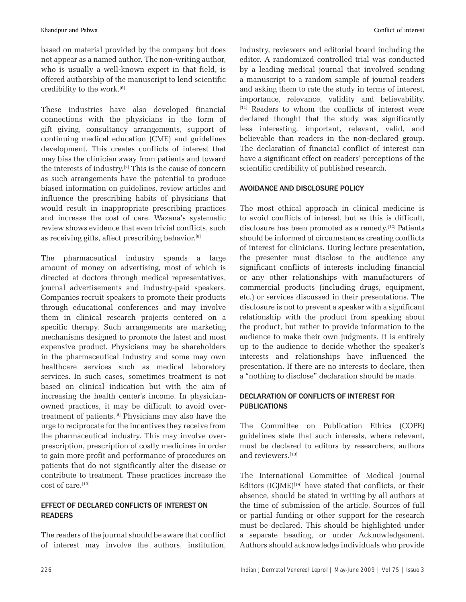based on material provided by the company but does not appear as a named author. The non-writing author, who is usually a well-known expert in that field, is offered authorship of the manuscript to lend scientific credibility to the work.[6]

These industries have also developed financial connections with the physicians in the form of gift giving, consultancy arrangements, support of continuing medical education (CME) and guidelines development. This creates conflicts of interest that may bias the clinician away from patients and toward the interests of industry.[7] This is the cause of concern as such arrangements have the potential to produce biased information on guidelines, review articles and influence the prescribing habits of physicians that would result in inappropriate prescribing practices and increase the cost of care. Wazana's systematic review shows evidence that even trivial conflicts, such as receiving gifts, affect prescribing behavior.[8]

The pharmaceutical industry spends a large amount of money on advertising, most of which is directed at doctors through medical representatives, journal advertisements and industry-paid speakers. Companies recruit speakers to promote their products through educational conferences and may involve them in clinical research projects centered on a specific therapy. Such arrangements are marketing mechanisms designed to promote the latest and most expensive product. Physicians may be shareholders in the pharmaceutical industry and some may own healthcare services such as medical laboratory services. In such cases, sometimes treatment is not based on clinical indication but with the aim of increasing the health center's income. In physicianowned practices, it may be difficult to avoid overtreatment of patients.[9] Physicians may also have the urge to reciprocate for the incentives they receive from the pharmaceutical industry. This may involve overprescription, prescription of costly medicines in order to gain more profit and performance of procedures on patients that do not significantly alter the disease or contribute to treatment. These practices increase the cost of care.[10]

### EFFECT OF DECLARED CONFLICTS OF INTEREST ON READERS

The readers of the journal should be aware that conflict of interest may involve the authors, institution, industry, reviewers and editorial board including the editor. A randomized controlled trial was conducted by a leading medical journal that involved sending a manuscript to a random sample of journal readers and asking them to rate the study in terms of interest, importance, relevance, validity and believability. [11] Readers to whom the conflicts of interest were declared thought that the study was significantly less interesting, important, relevant, valid, and believable than readers in the non-declared group. The declaration of financial conflict of interest can have a significant effect on readers' perceptions of the scientific credibility of published research.

## AVOIDANCE AND DISCLOSURE POLICY

The most ethical approach in clinical medicine is to avoid conflicts of interest, but as this is difficult, disclosure has been promoted as a remedy.<sup>[12]</sup> Patients should be informed of circumstances creating conflicts of interest for clinicians. During lecture presentation, the presenter must disclose to the audience any significant conflicts of interests including financial or any other relationships with manufacturers of commercial products (including drugs, equipment, etc.) or services discussed in their presentations. The disclosure is not to prevent a speaker with a significant relationship with the product from speaking about the product, but rather to provide information to the audience to make their own judgments. It is entirely up to the audience to decide whether the speaker's interests and relationships have influenced the presentation. If there are no interests to declare, then a "nothing to disclose" declaration should be made.

## DECLARATION OF CONFLICTS OF INTEREST FOR ECLARATION OF CONFLICTS OF INTEREST FOR **PUBLICATIONS**

The Committee on Publication Ethics (COPE) guidelines state that such interests, where relevant, must be declared to editors by researchers, authors and reviewers.[13]

The International Committee of Medical Journal Editors  $[ICIME]^{[14]}$  have stated that conflicts, or their absence, should be stated in writing by all authors at the time of submission of the article. Sources of full or partial funding or other support for the research must be declared. This should be highlighted under a separate heading, or under Acknowledgement. Authors should acknowledge individuals who provide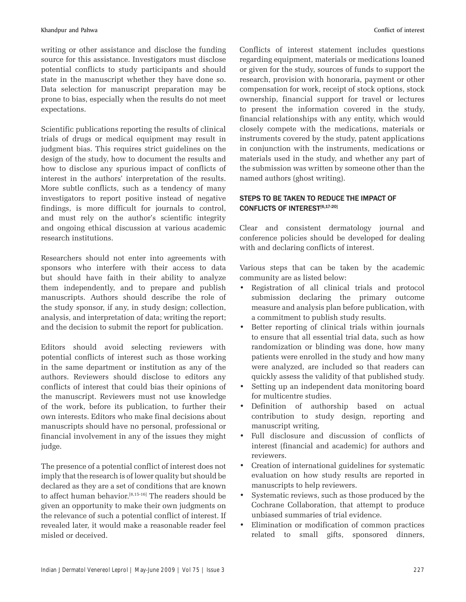writing or other assistance and disclose the funding source for this assistance. Investigators must disclose potential conflicts to study participants and should state in the manuscript whether they have done so. Data selection for manuscript preparation may be prone to bias, especially when the results do not meet expectations.

Scientific publications reporting the results of clinical trials of drugs or medical equipment may result in judgment bias. This requires strict guidelines on the design of the study, how to document the results and how to disclose any spurious impact of conflicts of interest in the authors' interpretation of the results. More subtle conflicts, such as a tendency of many investigators to report positive instead of negative findings, is more difficult for journals to control, and must rely on the author's scientific integrity and ongoing ethical discussion at various academic research institutions.

Researchers should not enter into agreements with sponsors who interfere with their access to data but should have faith in their ability to analyze them independently, and to prepare and publish manuscripts. Authors should describe the role of the study sponsor, if any, in study design; collection, analysis, and interpretation of data; writing the report; and the decision to submit the report for publication.

Editors should avoid selecting reviewers with potential conflicts of interest such as those working in the same department or institution as any of the authors. Reviewers should disclose to editors any conflicts of interest that could bias their opinions of the manuscript. Reviewers must not use knowledge of the work, before its publication, to further their own interests. Editors who make final decisions about manuscripts should have no personal, professional or financial involvement in any of the issues they might judge.

The presence of a potential conflict of interest does not imply that the research is of lower quality but should be declared as they are a set of conditions that are known to affect human behavior.<sup>[8,15-16]</sup> The readers should be given an opportunity to make their own judgments on the relevance of such a potential conflict of interest. If revealed later, it would make a reasonable reader feel misled or deceived.

Conflicts of interest statement includes questions regarding equipment, materials or medications loaned or given for the study, sources of funds to support the research, provision with honoraria, payment or other compensation for work, receipt of stock options, stock ownership, financial support for travel or lectures to present the information covered in the study, financial relationships with any entity, which would closely compete with the medications, materials or instruments covered by the study, patent applications in conjunction with the instruments, medications or materials used in the study, and whether any part of the submission was written by someone other than the named authors (ghost writing).

### STEPS TO BE TAKEN TO REDUCE THE IMPACT OF CONFLICTS OF INTEREST<sup>[6,17-20]</sup>

Clear and consistent dermatology journal and conference policies should be developed for dealing with and declaring conflicts of interest.

Various steps that can be taken by the academic community are as listed below:

- Registration of all clinical trials and protocol submission declaring the primary outcome measure and analysis plan before publication, with a commitment to publish study results.
- Better reporting of clinical trials within journals to ensure that all essential trial data, such as how randomization or blinding was done, how many patients were enrolled in the study and how many were analyzed, are included so that readers can quickly assess the validity of that published study.
- Setting up an independent data monitoring board for multicentre studies.
- Definition of authorship based on actual contribution to study design, reporting and manuscript writing,
- Full disclosure and discussion of conflicts of interest (financial and academic) for authors and reviewers.
- Creation of international guidelines for systematic evaluation on how study results are reported in manuscripts to help reviewers.
- Systematic reviews, such as those produced by the Cochrane Collaboration, that attempt to produce unbiased summaries of trial evidence.
- Elimination or modification of common practices related to small gifts, sponsored dinners,